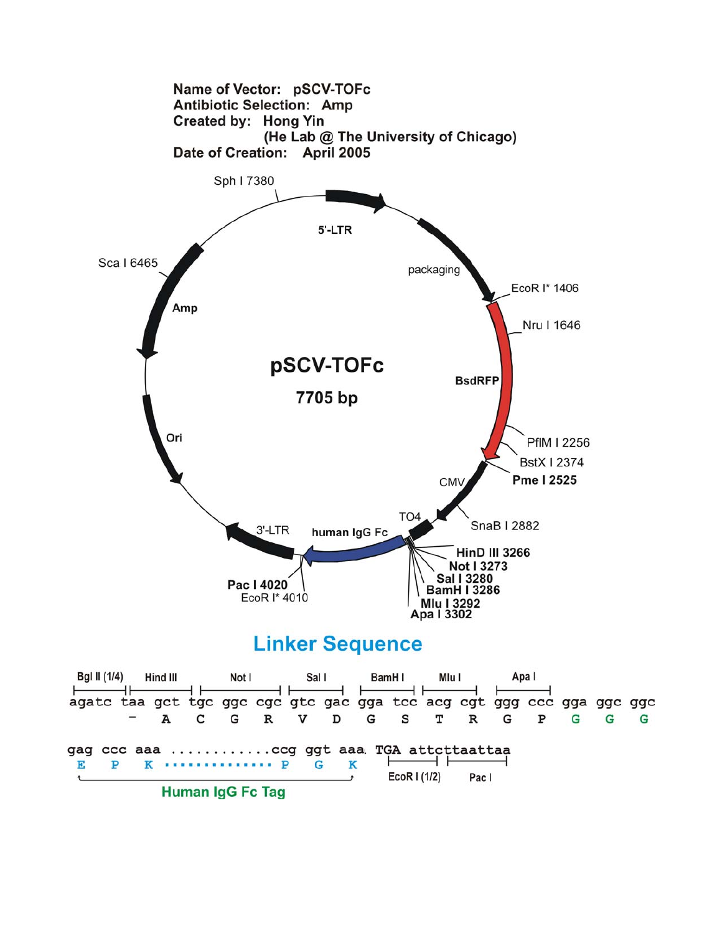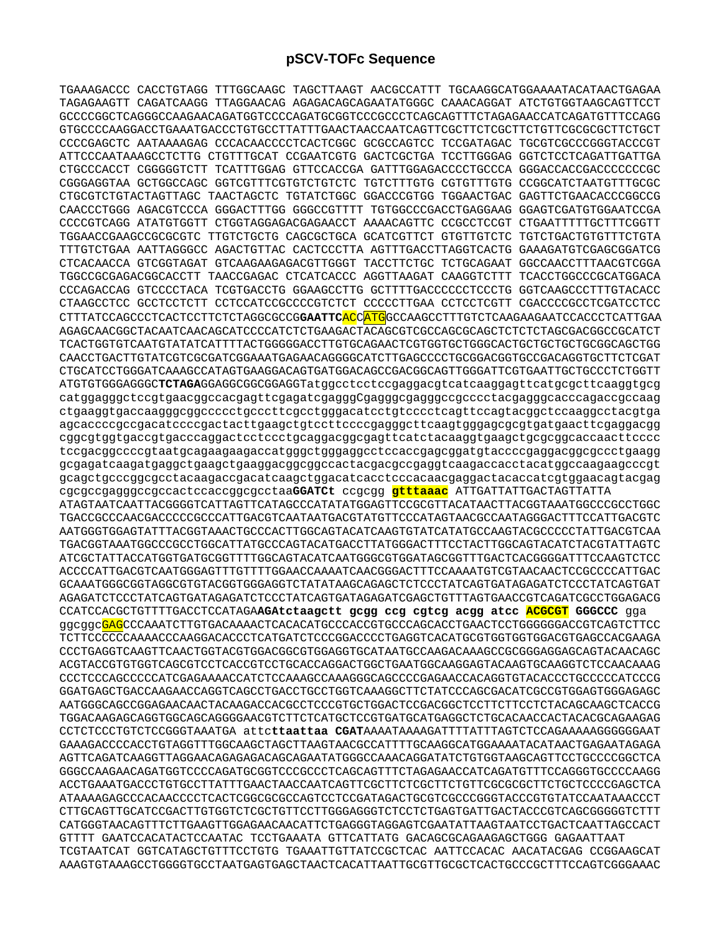TGAAAGACCC CACCTGTAGG TTTGGCAAGC TAGCTTAAGT AACGCCATTT TGCAAGGCATGGAAAATACATAACTGAGAA TAGAGAAGTT CAGATCAAGG TTAGGAACAG AGAGACAGCAGAATATGGGC CAAACAGGAT ATCTGTGGTAAGCAGTTCCT GCCCCGGCTCAGGGCCAAGAACAGATGGTCCCCAGATGCGGTCCCGCCCTCAGCAGTTTCTAGAGAACCATCAGATGTTTCCAGG GTGCCCCAAGGACCTGAAATGACCCTGTGCCTTATTTGAACTAACCAATCAGTTCGCTTCTCGCTTCTGTTCGCGCGCTTCTGCT CCCCGAGCTC AATAAAAGAG CCCACAACCCCTCACTCGGC GCGCCAGTCC TCCGATAGAC TGCGTCGCCCGGGTACCCGT ATTCCCAATAAAGCCTCTTG CTGTTTGCAT CCGAATCGTG GACTCGCTGA TCCTTGGGAG GGTCTCCTCAGATTGATTGA CTGCCCACCT CGGGGGTCTT TCATTTGGAG GTTCCACCGA GATTTGGAGACCCCTGCCCA GGGACCACCGACCCCCCCGC CGGGAGGTAA GCTGGCCAGC GGTCGTTTCGTGTCTGTCTC TGTCTTTGTG CGTGTTTGTG CCGGCATCTAATGTTTGCGC CTGCGTCTGTACTAGTTAGC TAACTAGCTC TGTATCTGGC GGACCCGTGG TGGAACTGAC GAGTTCTGAACACCCGGCCG CAACCCTGGG AGACGTCCCA GGGACTTTGG GGGCCGTTTT TGTGGCCCGACCTGAGGAAG GGAGTCGATGTGGAATCCGA CCCCGTCAGG ATATGTGGTT CTGGTAGGAGACGAGAACCT AAAACAGTTC CCGCCTCCGT CTGAATTTTTGCTTTCGGTT TGGAACCGAAGCCGCGCGTC TTGTCTGCTG CAGCGCTGCA GCATCGTTCT GTGTTGTCTC TGTCTGACTGTGTTTCTGTA TTTGTCTGAA AATTAGGGCC AGACTGTTAC CACTCCCTTA AGTTTGACCTTAGGTCACTG GAAAGATGTCGAGCGGATCG CTCACAACCA GTCGGTAGAT GTCAAGAAGAGACGTTGGGT TACCTTCTGC TCTGCAGAAT GGCCAACCTTTAACGTCGGA TGGCCGCGAGACGGCACCTT TAACCGAGAC CTCATCACCC AGGTTAAGAT CAAGGTCTTT TCACCTGGCCCGCATGGACA CCCAGACCAG GTCCCCTACA TCGTGACCTG GGAAGCCTTG GCTTTTGACCCCCCTCCCTG GGTCAAGCCCTTTGTACACC CTAAGCCTCC GCCTCCTCTT CCTCCATCCGCCCCGTCTCT CCCCCTTGAA CCTCCTCGTT CGACCCCGCCTCGATCCTCC CTTTATCCAGCCCTCACTCCTTCTCTAGGCGCCG**GAATTC**ACCATGGCCAAGCCTTTGTCTCAAGAAGAATCCACCCTCATTGAA AGAGCAACGGCTACAATCAACAGCATCCCCATCTCTGAAGACTACAGCGTCGCCAGCGCAGCTCTCTCTAGCGACGGCCGCATCT TCACTGGTGTCAATGTATATCATTTTACTGGGGGACCTTGTGCAGAACTCGTGGTGCTGGGCACTGCTGCTGCTGCGGCAGCTGG CAACCTGACTTGTATCGTCGCGATCGGAAATGAGAACAGGGGCATCTTGAGCCCCTGCGGACGGTGCCGACAGGTGCTTCTCGAT CTGCATCCTGGGATCAAAGCCATAGTGAAGGACAGTGATGGACAGCCGACGGCAGTTGGGATTCGTGAATTGCTGCCCTCTGGTT ATGTGTGGGAGGGC**TCTAGA**GGAGGCGGCGGAGGTatggcctcctccgaggacgtcatcaaggagttcatgcgcttcaaggtgcg catggagggctccgtgaacggccacgagttcgagatcgagggCgagggcgagggccgcccctacgagggcacccagaccgccaag ctgaaggtgaccaagggcggccccctgcccttcgcctgggacatcctgtcccctcagttccagtacggctccaaggcctacgtga agcaccccgccgacatccccgactacttgaagctgtccttccccgagggcttcaagtgggagcgcgtgatgaacttcgaggacgg cggcgtggtgaccgtgacccaggactcctccctgcaggacggcgagttcatctacaaggtgaagctgcgcggcaccaacttcccc tccgacggccccgtaatgcagaagaagaccatgggctgggaggcctccaccgagcggatgtaccccgaggacggcgccctgaagg gcgagatcaagatgaggctgaagctgaaggacggcggccactacgacgccgaggtcaagaccacctacatggccaagaagcccgt gcagctgcccggcgcctacaagaccgacatcaagctggacatcacctcccacaacgaggactacaccatcgtggaacagtacgag cgcgccgagggccgccactccaccggcgcctaa**GGATCt** ccgcgg **gtttaaac** ATTGATTATTGACTAGTTATTA ATAGTAATCAATTACGGGGTCATTAGTTCATAGCCCATATATGGAGTTCCGCGTTACATAACTTACGGTAAATGGCCCGCCTGGC TGACCGCCCAACGACCCCCGCCCATTGACGTCAATAATGACGTATGTTCCCATAGTAACGCCAATAGGGACTTTCCATTGACGTC AATGGGTGGAGTATTTACGGTAAACTGCCCACTTGGCAGTACATCAAGTGTATCATATGCCAAGTACGCCCCCTATTGACGTCAA TGACGGTAAATGGCCCGCCTGGCATTATGCCCAGTACATGACCTTATGGGACTTTCCTACTTGGCAGTACATCTACGTATTAGTC ATCGCTATTACCATGGTGATGCGGTTTTGGCAGTACATCAATGGGCGTGGATAGCGGTTTGACTCACGGGGATTTCCAAGTCTCC ACCCCATTGACGTCAATGGGAGTTTGTTTTGGAACCAAAATCAACGGGACTTTCCAAAATGTCGTAACAACTCCGCCCCATTGAC GCAAATGGGCGGTAGGCGTGTACGGTGGGAGGTCTATATAAGCAGAGCTCTCCCTATCAGTGATAGAGATCTCCCTATCAGTGAT AGAGATCTCCCTATCAGTGATAGAGATCTCCCTATCAGTGATAGAGATCGAGCTGTTTAGTGAACCGTCAGATCGCCTGGAGACG CCATCCACGCTGTTTTGACCTCCATAGA**AGAtctaagctt gcgg ccg cgtcg acgg atcc ACGCGT GGGCCC** gga ggcggc<mark>GAG</mark>CCCAAATCTTGTGACAAAACTCACACATGCCCACCGTGCCCAGCACCTGAACTCCTGGGGGGACCGTCAGTCTTCC TCTTCCCCCCAAAACCCAAGGACACCCTCATGATCTCCCGGACCCCTGAGGTCACATGCGTGGTGGTGGACGTGAGCCACGAAGA CCCTGAGGTCAAGTTCAACTGGTACGTGGACGGCGTGGAGGTGCATAATGCCAAGACAAAGCCGCGGGAGGAGCAGTACAACAGC ACGTACCGTGTGGTCAGCGTCCTCACCGTCCTGCACCAGGACTGGCTGAATGGCAAGGAGTACAAGTGCAAGGTCTCCAACAAAG CCCTCCCAGCCCCCATCGAGAAAACCATCTCCAAAGCCAAAGGGCAGCCCCGAGAACCACAGGTGTACACCCTGCCCCCATCCCG GGATGAGCTGACCAAGAACCAGGTCAGCCTGACCTGCCTGGTCAAAGGCTTCTATCCCAGCGACATCGCCGTGGAGTGGGAGAGC AATGGGCAGCCGGAGAACAACTACAAGACCACGCCTCCCGTGCTGGACTCCGACGGCTCCTTCTTCCTCTACAGCAAGCTCACCG TGGACAAGAGCAGGTGGCAGCAGGGGAACGTCTTCTCATGCTCCGTGATGCATGAGGCTCTGCACAACCACTACACGCAGAAGAG CCTCTCCCTGTCTCCGGGTAAATGA attc**ttaattaa CGAT**AAAATAAAAGATTTTATTTAGTCTCCAGAAAAAGGGGGGAAT GAAAGACCCCACCTGTAGGTTTGGCAAGCTAGCTTAAGTAACGCCATTTTGCAAGGCATGGAAAATACATAACTGAGAATAGAGA AGTTCAGATCAAGGTTAGGAACAGAGAGACAGCAGAATATGGGCCAAACAGGATATCTGTGGTAAGCAGTTCCTGCCCCGGCTCA GGGCCAAGAACAGATGGTCCCCAGATGCGGTCCCGCCCTCAGCAGTTTCTAGAGAACCATCAGATGTTTCCAGGGTGCCCCAAGG ACCTGAAATGACCCTGTGCCTTATTTGAACTAACCAATCAGTTCGCTTCTCGCTTCTGTTCGCGCGCTTCTGCTCCCCGAGCTCA ATAAAAGAGCCCACAACCCCTCACTCGGCGCGCCAGTCCTCCGATAGACTGCGTCGCCCGGGTACCCGTGTATCCAATAAACCCT CTTGCAGTTGCATCCGACTTGTGGTCTCGCTGTTCCTTGGGAGGGTCTCCTCTGAGTGATTGACTACCCGTCAGCGGGGGTCTTT CATGGGTAACAGTTTCTTGAAGTTGGAGAACAACATTCTGAGGGTAGGAGTCGAATATTAAGTAATCCTGACTCAATTAGCCACT GTTTT GAATCCACATACTCCAATAC TCCTGAAATA GTTCATTATG GACAGCGCAGAAGAGCTGGG GAGAATTAAT TCGTAATCAT GGTCATAGCTGTTTCCTGTG TGAAATTGTTATCCGCTCAC AATTCCACAC AACATACGAG CCGGAAGCAT AAAGTGTAAAGCCTGGGGTGCCTAATGAGTGAGCTAACTCACATTAATTGCGTTGCGCTCACTGCCCGCTTTCCAGTCGGGAAAC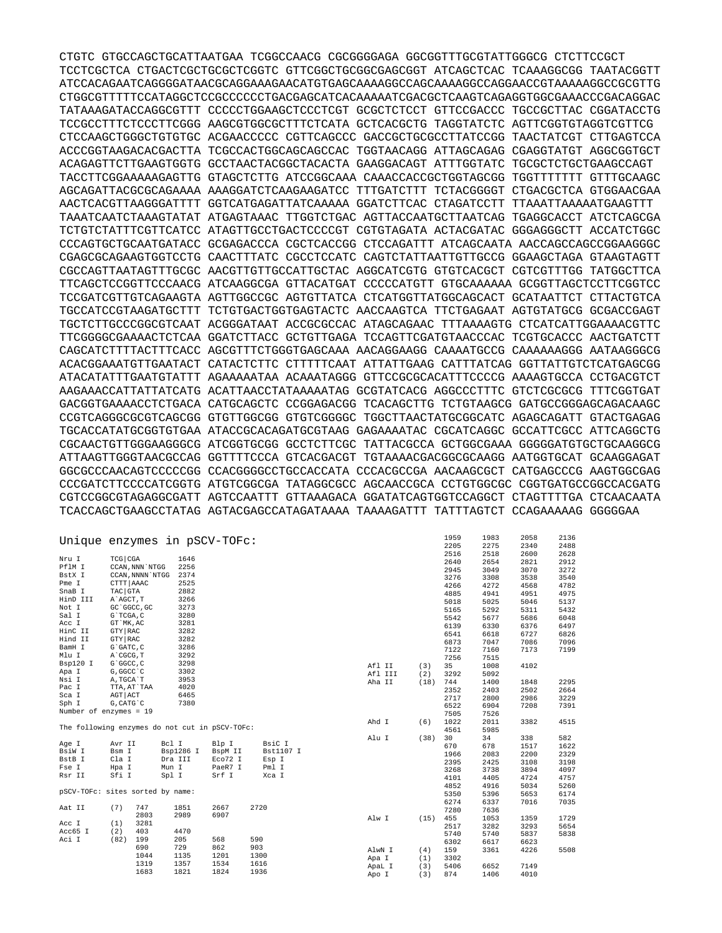CTGTC GTGCCAGCTGCATTAATGAA TCGGCCAACG CGCGGGGAGA GGCGGTTTGCGTATTGGGCG CTCTTCCGCT TCCTCGCTCA CTGACTCGCTGCGCTCGGTC GTTCGGCTGCGGCGAGCGGT ATCAGCTCAC TCAAAGGCGG TAATACGGTT ATCCACAGAATCAGGGGATAACGCAGGAAAGAACATGTGAGCAAAAGGCCAGCAAAAGGCCAGGAACCGTAAAAAGGCCGCGTTG CTGGCGTTTTTCCATAGGCTCCGCCCCCCTGACGAGCATCACAAAAATCGACGCTCAAGTCAGAGGTGGCGAAACCCGACAGGAC TATAAAGATACCAGGCGTTT CCCCCTGGAAGCTCCCTCGT GCGCTCTCCT GTTCCGACCC TGCCGCTTAC CGGATACCTG TCCGCCTTTCTCCCTTCGGG AAGCGTGGCGCTTTCTCATA GCTCACGCTG TAGGTATCTC AGTTCGGTGTAGGTCGTTCG CTCCAAGCTGGGCTGTGTGC ACGAACCCCC CGTTCAGCCC GACCGCTGCGCCTTATCCGG TAACTATCGT CTTGAGTCCA ACCCGGTAAGACACGACTTA TCGCCACTGGCAGCAGCCAC TGGTAACAGG ATTAGCAGAG CGAGGTATGT AGGCGGTGCT ACAGAGTTCTTGAAGTGGTG GCCTAACTACGGCTACACTA GAAGGACAGT ATTTGGTATC TGCGCTCTGCTGAAGCCAGT TACCTTCGGAAAAAGAGTTG GTAGCTCTTG ATCCGGCAAA CAAACCACCGCTGGTAGCGG TGGTTTTTTT GTTTGCAAGC AGCAGATTACGCGCAGAAAA AAAGGATCTCAAGAAGATCC TTTGATCTTT TCTACGGGGT CTGACGCTCA GTGGAACGAA AACTCACGTTAAGGGATTTT GGTCATGAGATTATCAAAAA GGATCTTCAC CTAGATCCTT TTAAATTAAAAATGAAGTTT TAAATCAATCTAAAGTATAT ATGAGTAAAC TTGGTCTGAC AGTTACCAATGCTTAATCAG TGAGGCACCT ATCTCAGCGA TCTGTCTATTTCGTTCATCC ATAGTTGCCTGACTCCCCGT CGTGTAGATA ACTACGATAC GGGAGGGCTT ACCATCTGGC CCCAGTGCTGCAATGATACC GCGAGACCCA CGCTCACCGG CTCCAGATTT ATCAGCAATA AACCAGCCAGCCGGAAGGGC CGAGCGCAGAAGTGGTCCTG CAACTTTATC CGCCTCCATC CAGTCTATTAATTGTTGCCG GGAAGCTAGA GTAAGTAGTT CGCCAGTTAATAGTTTGCGC AACGTTGTTGCCATTGCTAC AGGCATCGTG GTGTCACGCT CGTCGTTTGG TATGGCTTCA TTCAGCTCCGGTTCCCAACG ATCAAGGCGA GTTACATGAT CCCCCATGTT GTGCAAAAAA GCGGTTAGCTCCTTCGGTCC TCCGATCGTTGTCAGAAGTA AGTTGGCCGC AGTGTTATCA CTCATGGTTATGGCAGCACT GCATAATTCT CTTACTGTCA TGCCATCCGTAAGATGCTTT TCTGTGACTGGTGAGTACTC AACCAAGTCA TTCTGAGAAT AGTGTATGCG GCGACCGAGT TGCTCTTGCCCGGCGTCAAT ACGGGATAAT ACCGCGCCAC ATAGCAGAAC TTTAAAAGTG CTCATCATTGGAAAACGTTC TTCGGGGCGAAAACTCTCAA GGATCTTACC GCTGTTGAGA TCCAGTTCGATGTAACCCAC TCGTGCACCC AACTGATCTT CAGCATCTTTTACTTTCACC AGCGTTTCTGGGTGAGCAAA AACAGGAAGG CAAAATGCCG CAAAAAAGGG AATAAGGGCG ACACGGAAATGTTGAATACT CATACTCTTC CTTTTTCAAT ATTATTGAAG CATTTATCAG GGTTATTGTCTCATGAGCGG ATACATATTTGAATGTATTT AGAAAAATAA ACAAATAGGG GTTCCGCGCACATTTCCCCG AAAAGTGCCA CCTGACGTCT AAGAAACCATTATTATCATG ACATTAACCTATAAAAATAG GCGTATCACG AGGCCCTTTC GTCTCGCGCG TTTCGGTGAT GACGGTGAAAACCTCTGACA CATGCAGCTC CCGGAGACGG TCACAGCTTG TCTGTAAGCG GATGCCGGGAGCAGACAAGC CCGTCAGGGCGCGTCAGCGG GTGTTGGCGG GTGTCGGGGC TGGCTTAACTATGCGGCATC AGAGCAGATT GTACTGAGAG TGCACCATATGCGGTGTGAA ATACCGCACAGATGCGTAAG GAGAAAATAC CGCATCAGGC GCCATTCGCC ATTCAGGCTG CGCAACTGTTGGGAAGGGCG ATCGGTGCGG GCCTCTTCGC TATTACGCCA GCTGGCGAAA GGGGGATGTGCTGCAAGGCG ATTAAGTTGGGTAACGCCAG GGTTTTCCCA GTCACGACGT TGTAAAACGACGGCGCAAGG AATGGTGCAT GCAAGGAGAT GGCGCCCAACAGTCCCCCGG CCACGGGGCCTGCCACCATA CCCACGCCGA AACAAGCGCT CATGAGCCCG AAGTGGCGAG CCCGATCTTCCCCATCGGTG ATGTCGGCGA TATAGGCGCC AGCAACCGCA CCTGTGGCGC CGGTGATGCCGGCCACGATG CGTCCGGCGTAGAGGCGATT AGTCCAATTT GTTAAAGACA GGATATCAGTGGTCCAGGCT CTAGTTTTGA CTCAACAATA TCACCAGCTGAAGCCTATAG AGTACGAGCCATAGATAAAA TAAAAGATTT TATTTAGTCT CCAGAAAAAG GGGGGAA

| Unique enzymes in pSCV-TOFc:                   |            |                  |           |         |      |           |         |      | 1959 | 1983 | 2058 | 2136 |
|------------------------------------------------|------------|------------------|-----------|---------|------|-----------|---------|------|------|------|------|------|
|                                                |            |                  |           |         |      |           |         |      | 2205 | 2275 | 2340 | 2488 |
|                                                |            |                  |           |         |      |           |         |      | 2516 | 2518 | 2600 | 2628 |
| Nru I                                          | TCG CGA    |                  | 1646      |         |      |           |         |      | 2640 | 2654 | 2821 | 2912 |
| PflM I                                         |            | CCAN, NNN `NTGG  | 2256      |         |      |           |         |      | 2945 | 3049 | 3070 | 3272 |
| BstX I                                         |            | CCAN, NNNN `NTGG | 2374      |         |      |           |         |      | 3276 | 3308 | 3538 | 3540 |
| Pme I                                          | CTTT AAAC  |                  | 2525      |         |      |           |         |      | 4266 | 4272 | 4568 | 4782 |
| SnaB I                                         | TAC GTA    |                  | 2882      |         |      |           |         |      | 4885 | 4941 | 4951 | 4975 |
| HinD III                                       | A`AGCT, T  |                  | 3266      |         |      |           |         |      | 5018 | 5025 | 5046 | 5137 |
| Not I                                          |            | GC 'GGCC, GC     | 3273      |         |      |           |         |      | 5165 | 5292 | 5311 | 5432 |
| Sal I                                          | G`TCGA, C  |                  | 3280      |         |      |           |         |      | 5542 | 5677 | 5686 | 6048 |
| Acc I                                          | GT MK, AC  |                  | 3281      |         |      |           |         |      | 6139 | 6330 | 6376 | 6497 |
| HinC II                                        | GTY RAC    |                  | 3282      |         |      |           |         |      | 6541 | 6618 | 6727 | 6826 |
| Hind II                                        | GTY RAC    |                  | 3282      |         |      |           |         |      | 6873 | 7047 | 7086 | 7096 |
| BamH I                                         | G`GATC, C  |                  | 3286      |         |      |           |         |      | 7122 | 7160 | 7173 | 7199 |
| Mlu I                                          | A`CGCG, T  |                  | 3292      |         |      |           |         |      | 7256 | 7515 |      |      |
| Bsp120 I                                       | G`GGCC, C  |                  | 3298      |         |      |           | Afl II  | (3)  | 35   | 1008 | 4102 |      |
| Apa I                                          | G, GGCC `C |                  | 3302      |         |      |           | Afl III | (2)  | 3292 | 5092 |      |      |
| Nsi I                                          | A, TGCA `T |                  | 3953      |         |      |           | Aha II  | (18) | 744  | 1400 | 1848 | 2295 |
| Pac I                                          |            | TTA, AT`TAA      | 4020      |         |      |           |         |      | 2352 | 2403 | 2502 | 2664 |
| Sca I                                          | AGT ACT    |                  | 6465      |         |      |           |         |      |      |      |      |      |
| Sph I                                          | G, CATG C  |                  | 7380      |         |      |           |         |      | 2717 | 2800 | 2986 | 3229 |
| Number of enzymes = 19                         |            |                  |           |         |      |           |         |      | 6522 | 6904 | 7208 | 7391 |
|                                                |            |                  |           |         |      |           |         |      | 7505 | 7526 |      |      |
| The following enzymes do not cut in pSCV-TOFc: |            |                  |           |         |      |           | Ahd I   | (6)  | 1022 | 2011 | 3382 | 4515 |
|                                                |            |                  |           |         |      |           |         |      | 4561 | 5985 |      |      |
| Age I                                          | Avr II     |                  | Bcl I     | Blp I   |      | BsiC I    | Alu I   | (38) | 30   | 34   | 338  | 582  |
| BsiW I                                         | Bsm I      |                  | Bsp1286 I | BspM II |      | Bst1107 I |         |      | 670  | 678  | 1517 | 1622 |
| BstB I                                         | Cla I      |                  | Dra III   | Eco72 I |      | Esp I     |         |      | 1966 | 2083 | 2200 | 2329 |
|                                                |            |                  |           |         |      |           |         |      | 2395 | 2425 | 3108 | 3198 |
| Fse I                                          | Hpa I      |                  | Mun I     | PaeR7 I |      | Pml I     |         |      | 3268 | 3738 | 3894 | 4097 |
| Rsr II                                         | Sfi I      |                  | Spl I     | Srf I   |      | Xca I     |         |      | 4101 | 4405 | 4724 | 4757 |
|                                                |            |                  |           |         |      |           |         |      | 4852 | 4916 | 5034 | 5260 |
| pSCV-TOFc: sites sorted by name:               |            |                  |           |         |      |           |         |      | 5350 | 5396 | 5653 | 6174 |
|                                                |            |                  |           |         |      |           |         |      | 6274 | 6337 | 7016 | 7035 |
| Aat II                                         | (7)        | 747              | 1851      | 2667    | 2720 |           |         |      | 7280 | 7636 |      |      |
|                                                |            | 2803             | 2989      | 6907    |      |           | Alw I   | (15) | 455  | 1053 | 1359 | 1729 |
| Acc I                                          | (1)        | 3281             |           |         |      |           |         |      | 2517 | 3282 | 3293 | 5654 |
| Acc65 I                                        | (2)        | 403              | 4470      |         |      |           |         |      | 5740 | 5740 | 5837 | 5838 |
| Aci I                                          | (82)       | 199              | 205       | 568     | 590  |           |         |      | 6302 | 6617 | 6623 |      |
|                                                |            | 690              | 729       | 862     | 903  |           | AlwN I  | (4)  | 159  | 3361 | 4226 | 5508 |
|                                                |            | 1044             | 1135      | 1201    | 1300 |           | Apa I   | (1)  | 3302 |      |      |      |
|                                                |            | 1319             | 1357      | 1534    | 1616 |           | ApaL I  | (3)  | 5406 | 6652 | 7149 |      |
|                                                |            | 1683             | 1821      | 1824    | 1936 |           | Apo I   | (3)  | 874  | 1406 | 4010 |      |
|                                                |            |                  |           |         |      |           |         |      |      |      |      |      |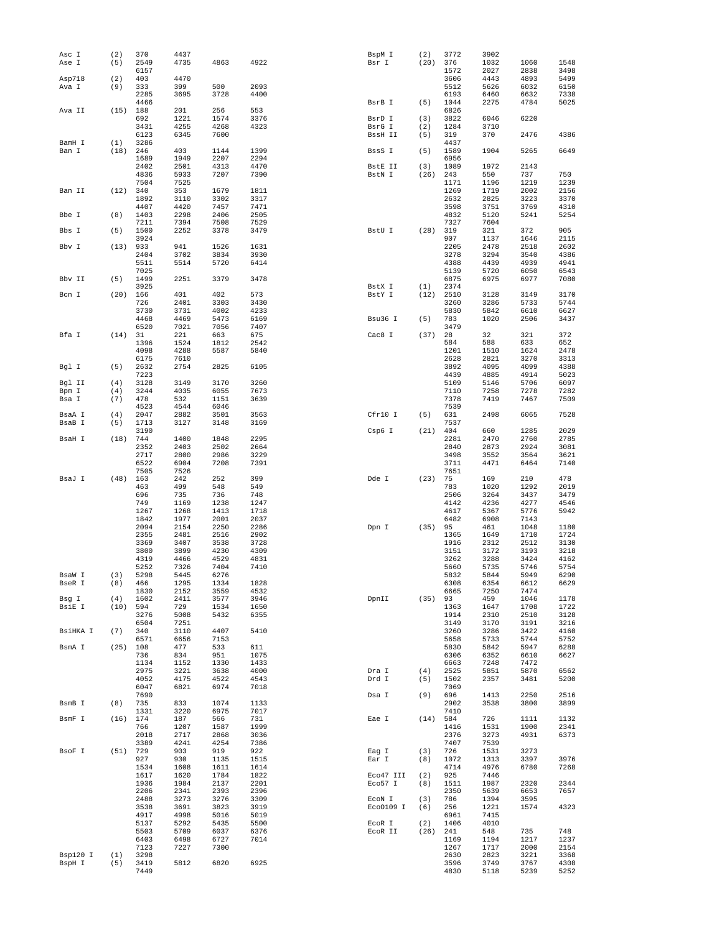| Asc I              | (2)        | 370          | 4437 |      |      | BspM I    | (2)  | 3772         | 3902         |              |              |
|--------------------|------------|--------------|------|------|------|-----------|------|--------------|--------------|--------------|--------------|
| Ase I              | (5)        | 2549         | 4735 | 4863 | 4922 | Bsr I     | (20) | 376          | 1032         | 1060         | 1548         |
|                    |            | 6157         |      |      |      |           |      | 1572         | 2027         | 2838         | 3498         |
| Asp718             | (2)        | 403          | 4470 |      |      |           |      | 3606         | 4443         | 4893         | 5499         |
| Ava I              | (9)        | 333          | 399  | 500  | 2093 |           |      | 5512         | 5626         | 6032         | 6150         |
|                    |            | 2285         | 3695 | 3728 | 4400 |           |      | 6193         | 6460         | 6632         | 7338         |
|                    |            | 4466         |      |      |      | BsrB I    | (5)  | 1044         | 2275         | 4784         | 5025         |
| Ava II             | $(15)$ 188 |              | 201  | 256  | 553  |           |      | 6826         |              |              |              |
|                    |            | 692          | 1221 | 1574 | 3376 | BsrD I    | (3)  | 3822         | 6046         | 6220         |              |
|                    |            | 3431         | 4255 | 4268 | 4323 | BsrG I    | (2)  | 1284         | 3710         |              |              |
|                    |            | 6123         | 6345 | 7600 |      | BssH II   | (5)  | 319          | 370          | 2476         | 4386         |
| BamH I             | (1)        | 3286         |      |      |      |           |      | 4437         |              |              |              |
| Ban I              | (18)       | 246          | 403  | 1144 | 1399 | BssS I    | (5)  | 1589         | 1904         | 5265         | 6649         |
|                    |            | 1689         | 1949 | 2207 | 2294 |           |      | 6956         |              |              |              |
|                    |            | 2402         | 2501 | 4313 | 4470 | BstE II   | (3)  | 1089         | 1972         | 2143         |              |
|                    |            | 4836         | 5933 | 7207 | 7390 | BstN I    | (26) | 243          | 550          | 737          | 750          |
|                    |            | 7504         | 7525 |      |      |           |      | 1171         | 1196         | 1219         | 1239         |
| Ban II             | (12)       | 340          | 353  | 1679 | 1811 |           |      | 1269         | 1719         | 2002         | 2156         |
|                    |            | 1892         | 3110 | 3302 | 3317 |           |      | 2632         | 2825         | 3223         | 3370         |
|                    |            | 4407         | 4420 | 7457 | 7471 |           |      | 3598         | 3751         | 3769         | 4310         |
| Bbe I              | (8)        | 1403         | 2298 | 2406 | 2505 |           |      | 4832         | 5120         | 5241         | 5254         |
|                    |            | 7211         | 7394 | 7508 | 7529 |           |      | 7327         | 7604         |              |              |
| Bbs I              | (5)        | 1500         | 2252 | 3378 | 3479 | BstU I    | (28) | 319          | 321          | 372          | 905          |
|                    |            | 3924         |      |      |      |           |      | 907          | 1137         | 1646         | 2115         |
| Bbv I              | (13)       | 933          | 941  | 1526 | 1631 |           |      | 2205         | 2478         | 2518         | 2602         |
|                    |            | 2404         | 3702 | 3834 | 3930 |           |      | 3278         | 3294         | 3540         | 4386         |
|                    |            | 5511         | 5514 | 5720 | 6414 |           |      | 4388         | 4439         | 4939         | 4941         |
|                    |            | 7025         |      |      |      |           |      | 5139         | 5720         | 6050         | 6543         |
| Bbv II             | (5)        | 1499         | 2251 | 3379 | 3478 |           |      | 6875         | 6975         | 6977         | 7080         |
|                    |            | 3925         |      |      |      | BstX I    | (1)  | 2374         |              |              |              |
| Bcn I              | (20)       | 166          | 401  | 402  | 573  | BstY I    | (12) | 2510         | 3128         | 3149         | 3170         |
|                    |            | 726          | 2401 | 3303 | 3430 |           |      | 3260         | 3286         | 5733         | 5744         |
|                    |            | 3730         | 3731 | 4002 | 4233 |           |      | 5830         | 5842         | 6610         | 6627         |
|                    |            | 4468         | 4469 | 5473 | 6169 | Bsu36 I   | (5)  | 783          | 1020         | 2506         | 3437         |
|                    |            | 6520         | 7021 | 7056 | 7407 |           |      | 3479         |              |              |              |
| Bfa I              | (14)       | 31           | 221  | 663  | 675  | Cac8 I    | (37) | 28           | 32           | 321          | 372          |
|                    |            | 1396         | 1524 | 1812 | 2542 |           |      | 584          | 588          | 633          | 652          |
|                    |            | 4098         | 4288 | 5587 | 5840 |           |      | 1201         | 1510         | 1624         | 2478         |
|                    |            | 6175         | 7610 |      |      |           |      | 2628         | 2821         | 3270         | 3313         |
| Bgl I              | (5)        | 2632         | 2754 | 2825 | 6105 |           |      | 3892         | 4095         | 4099         | 4388         |
|                    |            | 7223         |      |      |      |           |      | 4439         | 4885         | 4914         | 5023         |
| Bgl II             | (4)        | 3128         | 3149 | 3170 | 3260 |           |      | 5109         | 5146         | 5706         | 6097         |
| Bpm I              | (4)        | 3244         | 4035 | 6055 | 7673 |           |      | 7110         | 7258         | 7278         | 7282         |
| Bsa I              | (7)        | 478          | 532  | 1151 | 3639 |           |      | 7378         | 7419         | 7467         | 7509         |
|                    |            | 4523         | 4544 | 6046 |      |           |      | 7539         |              |              |              |
| BsaA I             | (4)        | 2047         | 2882 | 3501 | 3563 | Cfr10 I   | (5)  | 631          | 2498         | 6065         | 7528         |
| BsaB I             | (5)        | 1713         | 3127 | 3148 | 3169 |           |      | 7537         |              |              |              |
|                    |            | 3190         |      |      |      | Csp6 I    | (21) | 404          | 660          | 1285         | 2029         |
| BsaH I             | (18)       | 744          | 1400 | 1848 | 2295 |           |      | 2281         | 2470         | 2760         | 2785         |
|                    |            | 2352         | 2403 | 2502 | 2664 |           |      | 2840         | 2873         | 2924         | 3081         |
|                    |            | 2717         | 2800 | 2986 | 3229 |           |      | 3498         | 3552         | 3564         | 3621         |
|                    |            | 6522         | 6904 | 7208 | 7391 |           |      | 3711         | 4471         | 6464         | 7140         |
|                    |            |              |      |      |      |           |      |              |              |              |              |
|                    |            |              |      |      |      |           |      |              |              |              |              |
|                    |            | 7505         | 7526 |      |      |           |      | 7651         |              |              |              |
| BsaJ I             | (48)       | 163          | 242  | 252  | 399  | Dde I     | (23) | 75           | 169          | 210          | 478          |
|                    |            | 463          | 499  | 548  | 549  |           |      | 783          | 1020         | 1292         | 2019         |
|                    |            | 696          | 735  | 736  | 748  |           |      | 2506         | 3264         | 3437         | 3479         |
|                    |            | 749          | 1169 | 1238 | 1247 |           |      | 4142         | 4236         | 4277         | 4546         |
|                    |            | 1267         | 1268 | 1413 | 1718 |           |      | 4617         | 5367         | 5776         | 5942         |
|                    |            | 1842         | 1977 | 2001 | 2037 |           |      | 6482         | 6908         | 7143         |              |
|                    |            | 2094         | 2154 | 2250 | 2286 | Dpn I     | (35) | 95           | 461          | 1048         | 1180         |
|                    |            | 2355         | 2481 | 2516 | 2902 |           |      | 1365         | 1649         | 1710         | 1724         |
|                    |            | 3369         | 3407 | 3538 | 3728 |           |      | 1916         | 2312         | 2512         | 3130         |
|                    |            | 3800         | 3899 | 4230 | 4309 |           |      | 3151         | 3172         | 3193         | 3218         |
|                    |            | 4319         | 4466 | 4529 | 4831 |           |      | 3262         | 3288         | 3424         | 4162         |
|                    |            | 5252         | 7326 | 7404 | 7410 |           |      | 5660         | 5735         | 5746         | 5754         |
| BsaW I             | (3)        | 5298         | 5445 | 6276 |      |           |      | 5832         | 5844         | 5949         | 6290         |
| BseR I             | (8)        | 466          | 1295 | 1334 | 1828 |           |      | 6308         | 6354         | 6612         | 6629         |
|                    |            | 1830         | 2152 | 3559 | 4532 |           |      | 6665         | 7250         | 7474         |              |
| Bsg I              | (4)        | 1602         | 2411 | 3577 | 3946 | DpnII     | (35) | 93           | 459          | 1046         | 1178         |
| BsiE I             | (10)       | 594          | 729  | 1534 | 1650 |           |      | 1363         | 1647         | 1708         | 1722         |
|                    |            | 3276         | 5008 | 5432 | 6355 |           |      | 1914         | 2310         | 2510         | 3128         |
|                    |            | 6504         | 7251 |      |      |           |      | 3149         | 3170         | 3191         | 3216         |
| BsiHKA I           | (7)        | 340          | 3110 | 4407 | 5410 |           |      | 3260         | 3286         | 3422         | 4160         |
|                    |            | 6571         | 6656 | 7153 |      |           |      | 5658         | 5733         | 5744         | 5752         |
| BsmA I             | (25)       | 108          | 477  | 533  | 611  |           |      | 5830         | 5842         | 5947         | 6288         |
|                    |            | 736          | 834  | 951  | 1075 |           |      | 6306         | 6352         | 6610         | 6627         |
|                    |            | 1134         | 1152 | 1330 | 1433 |           |      | 6663         | 7248         | 7472         |              |
|                    |            | 2975         | 3221 | 3638 | 4000 | Dra I     | (4)  | 2525         | 5851         | 5870         | 6562         |
|                    |            | 4052         | 4175 | 4522 | 4543 | Drd I     | (5)  | 1502         | 2357         | 3481         | 5200         |
|                    |            | 6047         | 6821 | 6974 | 7018 |           |      | 7069         |              |              |              |
|                    |            | 7690         |      |      |      | Dsa I     | (9)  | 696          | 1413         | 2250         | 2516         |
| BsmB I             | (8)        | 735          | 833  | 1074 | 1133 |           |      | 2902         | 3538         | 3800         | 3899         |
|                    |            | 1331         | 3220 | 6975 | 7017 |           |      | 7410         |              |              |              |
| BsmF I             | $(16)$ 174 |              | 187  | 566  | 731  | Eae I     | (14) | 584          | 726          | 1111         | 1132         |
|                    |            | 766          | 1207 | 1587 | 1999 |           |      | 1416         | 1531         | 1900         | 2341         |
|                    |            | 2018         | 2717 | 2868 | 3036 |           |      | 2376         | 3273         | 4931         | 6373         |
|                    |            | 3389         | 4241 | 4254 | 7386 |           |      | 7407         | 7539         |              |              |
| BsoF I             | (51)       | 729          | 903  | 919  | 922  | Eag I     | (3)  | 726          | 1531         | 3273         |              |
|                    |            | 927          | 930  | 1135 | 1515 | Ear I     | (8)  | 1072         | 1313         | 3397         | 3976         |
|                    |            | 1534         | 1608 | 1611 | 1614 |           |      | 4714         | 4976         | 6780         | 7268         |
|                    |            | 1617         | 1620 | 1784 | 1822 | Eco47 III | (2)  | 925          | 7446         |              |              |
|                    |            | 1936         | 1984 | 2137 | 2201 | Eco57 I   | (8)  | 1511         | 1987         | 2320         | 2344         |
|                    |            | 2206         | 2341 | 2393 | 2396 |           |      | 2350         | 5639         | 6653         | 7657         |
|                    |            | 2488         | 3273 | 3276 | 3309 | ECON I    | (3)  | 786          | 1394         | 3595         |              |
|                    |            | 3538         | 3691 | 3823 | 3919 | Eco0109 I | (6)  | 256          | 1221         | 1574         | 4323         |
|                    |            | 4917         | 4998 | 5016 | 5019 |           |      | 6961         | 7415         |              |              |
|                    |            | 5137         | 5292 | 5435 | 5500 | ECOR I    | (2)  | 1406         | 4010         |              |              |
|                    |            | 5503         | 5709 | 6037 | 6376 | ECOR II   | (26) | 241          | 548          | 735          | 748          |
|                    |            | 6403         | 6498 | 6727 | 7014 |           |      | 1169         | 1194         | 1217         | 1237         |
|                    |            | 7123         | 7227 | 7300 |      |           |      | 1267         | 1717         | 2000         | 2154         |
| Bsp120 I<br>BspH I | (1)<br>(5) | 3298<br>3419 | 5812 | 6820 | 6925 |           |      | 2630<br>3596 | 2823<br>3749 | 3221<br>3767 | 3368<br>4308 |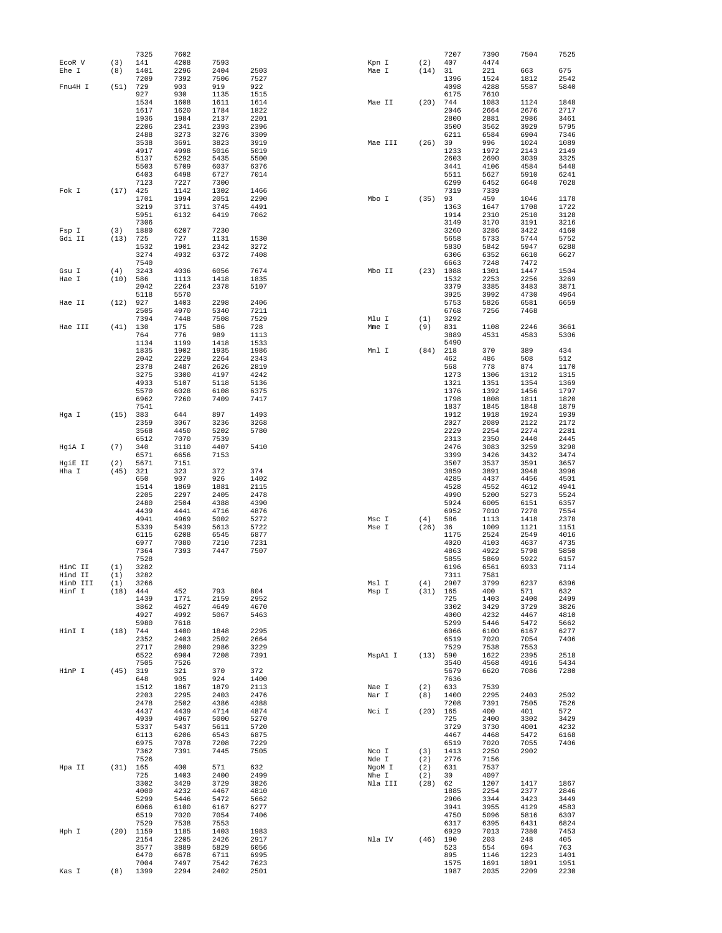|                |            | 7325         | 7602         |              |              |                  |            | 7207         | 7390         | 7504         | 7525         |
|----------------|------------|--------------|--------------|--------------|--------------|------------------|------------|--------------|--------------|--------------|--------------|
| ECOR V         | (3)        | 141          | 4208         | 7593         |              | Kpn I            | (2)        | 407          | 4474         |              |              |
| Ehe I          | (8)        | 1401         | 2296         | 2404         | 2503         | Mae I            | (14)       | 31           | 221          | 663          | 675          |
|                |            | 7209         | 7392         | 7506         | 7527         |                  |            | 1396         | 1524         | 1812         | 2542         |
| Fnu4H I        | (51)       | 729          | 903          | 919          | 922          |                  |            | 4098         | 4288         | 5587         | 5840         |
|                |            | 927<br>1534  | 930          | 1135<br>1611 | 1515<br>1614 |                  | (20)       | 6175<br>744  | 7610<br>1083 |              | 1848         |
|                |            | 1617         | 1608<br>1620 | 1784         | 1822         | Mae II           |            | 2046         | 2664         | 1124<br>2676 | 2717         |
|                |            | 1936         | 1984         | 2137         | 2201         |                  |            | 2800         | 2881         | 2986         | 3461         |
|                |            | 2206         | 2341         | 2393         | 2396         |                  |            | 3500         | 3562         | 3929         | 5795         |
|                |            | 2488         | 3273         | 3276         | 3309         |                  |            | 6211         | 6584         | 6904         | 7346         |
|                |            | 3538         | 3691         | 3823         | 3919         | Mae III          | (26)       | 39           | 996          | 1024         | 1089         |
|                |            | 4917         | 4998         | 5016         | 5019         |                  |            | 1233         | 1972         | 2143         | 2149         |
|                |            | 5137         | 5292         | 5435         | 5500         |                  |            | 2603         | 2690         | 3039         | 3325         |
|                |            | 5503         | 5709         | 6037         | 6376         |                  |            | 3441         | 4106         | 4584         | 5448         |
|                |            | 6403         | 6498         | 6727         | 7014         |                  |            | 5511         | 5627         | 5910         | 6241         |
|                |            | 7123         | 7227         | 7300         |              |                  |            | 6299<br>7319 | 6452         | 6640         | 7028         |
| Fok I          | (17)       | 425<br>1701  | 1142<br>1994 | 1302<br>2051 | 1466<br>2290 | Mbo I            | (35)       | 93           | 7339<br>459  | 1046         | 1178         |
|                |            | 3219         | 3711         | 3745         | 4491         |                  |            | 1363         | 1647         | 1708         | 1722         |
|                |            | 5951         | 6132         | 6419         | 7062         |                  |            | 1914         | 2310         | 2510         | 3128         |
|                |            | 7306         |              |              |              |                  |            | 3149         | 3170         | 3191         | 3216         |
| Fsp I          | (3)        | 1880         | 6207         | 7230         |              |                  |            | 3260         | 3286         | 3422         | 4160         |
| Gdi II         | (13)       | 725          | 727          | 1131         | 1530         |                  |            | 5658         | 5733         | 5744         | 5752         |
|                |            | 1532         | 1901         | 2342         | 3272         |                  |            | 5830         | 5842         | 5947         | 6288         |
|                |            | 3274         | 4932         | 6372         | 7408         |                  |            | 6306         | 6352         | 6610         | 6627         |
|                | (4)        | 7540<br>3243 |              | 6056         | 7674         |                  |            | 6663<br>1088 | 7248         | 7472<br>1447 | 1504         |
| Gsu I<br>Hae I | (10)       | 586          | 4036<br>1113 | 1418         | 1835         | Mbo II           | (23)       | 1532         | 1301<br>2253 | 2256         | 3269         |
|                |            | 2042         | 2264         | 2378         | 5107         |                  |            | 3379         | 3385         | 3483         | 3871         |
|                |            | 5118         | 5570         |              |              |                  |            | 3925         | 3992         | 4730         | 4964         |
| Hae II         | (12)       | 927          | 1403         | 2298         | 2406         |                  |            | 5753         | 5826         | 6581         | 6659         |
|                |            | 2505         | 4970         | 5340         | 7211         |                  |            | 6768         | 7256         | 7468         |              |
|                |            | 7394         | 7448         | 7508         | 7529         | Mlu I            | (1)        | 3292         |              |              |              |
| Hae III        | (41)       | 130          | 175          | 586          | 728          | Mme I            | (9)        | 831          | 1108         | 2246         | 3661         |
|                |            | 764          | 776          | 989          | 1113         |                  |            | 3889         | 4531         | 4583         | 5306         |
|                |            | 1134         | 1199         | 1418         | 1533         |                  |            | 5490         |              |              |              |
|                |            | 1835<br>2042 | 1902<br>2229 | 1935<br>2264 | 1986<br>2343 | Mnl I            | (84)       | 218<br>462   | 370<br>486   | 389<br>508   | 434<br>512   |
|                |            | 2378         | 2487         | 2626         | 2819         |                  |            | 568          | 778          | 874          | 1170         |
|                |            | 3275         | 3300         | 4197         | 4242         |                  |            | 1273         | 1306         | 1312         | 1315         |
|                |            | 4933         | 5107         | 5118         | 5136         |                  |            | 1321         | 1351         | 1354         | 1369         |
|                |            | 5570         | 6028         | 6108         | 6375         |                  |            | 1376         | 1392         | 1456         | 1797         |
|                |            | 6962         | 7260         | 7409         | 7417         |                  |            | 1798         | 1808         | 1811         | 1820         |
|                |            | 7541         |              |              |              |                  |            | 1837         | 1845         | 1848         | 1879         |
| Hga I          | (15)       | 383          | 644          | 897          | 1493         |                  |            | 1912         | 1918         | 1924         | 1939         |
|                |            | 2359         | 3067         | 3236         | 3268         |                  |            | 2027         | 2089         | 2122         | 2172         |
|                |            | 3568         | 4450<br>7070 | 5202<br>7539 | 5780         |                  |            | 2229         | 2254<br>2350 | 2274         | 2281<br>2445 |
| HgiA I         | (7)        | 6512<br>340  | 3110         | 4407         | 5410         |                  |            | 2313<br>2476 | 3083         | 2440<br>3259 | 3298         |
|                |            | 6571         | 6656         | 7153         |              |                  |            | 3399         | 3426         | 3432         | 3474         |
| HgiE II        | (2)        | 5671         | 7151         |              |              |                  |            | 3507         | 3537         | 3591         | 3657         |
| Hha I          | (45)       | 321          | 323          | 372          | 374          |                  |            | 3859         | 3891         | 3948         | 3996         |
|                |            | 650          | 907          | 926          | 1402         |                  |            | 4285         | 4437         | 4456         | 4501         |
|                |            | 1514         | 1869         | 1881         | 2115         |                  |            | 4528         | 4552         | 4612         | 4941         |
|                |            | 2205         | 2297         | 2405         | 2478         |                  |            | 4990         | 5200         | 5273         | 5524         |
|                |            | 2480         | 2504         | 4388         | 4390         |                  |            | 5924         | 6005         | 6151         | 6357         |
|                |            | 4439<br>4941 | 4441<br>4969 | 4716<br>5002 | 4876<br>5272 | Msc I            | (4)        | 6952<br>586  | 7010<br>1113 | 7270<br>1418 | 7554<br>2378 |
|                |            | 5339         | 5439         | 5613         | 5722         | Mse I            | (26)       | 36           | 1009         | 1121         | 1151         |
|                |            |              |              | 6545         | 6877         |                  |            | 1175         |              | 2549         | 4016         |
|                |            |              |              |              |              |                  |            |              |              |              | 4735         |
|                |            | 6115<br>6977 | 6208<br>7080 |              |              |                  |            | 4020         | 2524<br>4103 | 4637         |              |
|                |            | 7364         | 7393         | 7210<br>7447 | 7231<br>7507 |                  |            | 4863         | 4922         | 5798         | 5850         |
|                |            | 7528         |              |              |              |                  |            | 5855         | 5869         | 5922         | 6157         |
| HinC II        | (1)        | 3282         |              |              |              |                  |            | 6196         | 6561         | 6933         | 7114         |
| Hind II        | (1)        | 3282         |              |              |              |                  |            | 7311         | 7581         |              |              |
| HinD III       | (1)        | 3266         |              |              |              | Msl I            | (4)        | 2907         | 3799         | 6237         | 6396         |
| Hinf I         | $(18)$ 444 |              | 452          | 793          | 804          | Msp I            | (31) 165   |              | 400          | 571          | 632          |
|                |            | 1439         | 1771         | 2159         | 2952         |                  |            | 725          | 1403         | 2400         | 2499         |
|                |            | 3862         | 4627         | 4649         | 4670         |                  |            | 3302         | 3429         | 3729         | 3826         |
|                |            | 4927<br>5980 | 4992<br>7618 | 5067         | 5463         |                  |            | 4000<br>5299 | 4232<br>5446 | 4467<br>5472 | 4810<br>5662 |
| HinI I         | (18) 744   |              | 1400         | 1848         | 2295         |                  |            | 6066         | 6100         | 6167         | 6277         |
|                |            | 2352         | 2403         | 2502         | 2664         |                  |            | 6519         | 7020         | 7054         | 7406         |
|                |            | 2717         | 2800         | 2986         | 3229         |                  |            | 7529         | 7538         | 7553         |              |
|                |            | 6522         | 6904         | 7208         | 7391         | MspA1 I          | (13) 590   |              | 1622         | 2395         | 2518         |
|                |            | 7505         | 7526         |              |              |                  |            | 3540         | 4568         | 4916         | 5434         |
| HinP I         | $(45)$ 319 |              | 321          | 370          | 372          |                  |            | 5679         | 6620         | 7086         | 7280         |
|                |            | 648          | 905          | 924          | 1400         |                  |            | 7636         |              |              |              |
|                |            | 1512         | 1867         | 1879         | 2113         | Nae I            | (2)        | 633          | 7539         |              |              |
|                |            | 2203<br>2478 | 2295<br>2502 | 2403<br>4386 | 2476<br>4388 | Nar I            | (8)        | 1400<br>7208 | 2295<br>7391 | 2403<br>7505 | 2502<br>7526 |
|                |            | 4437         | 4439         | 4714         | 4874         | Nci I            | $(20)$ 165 |              | 400          | 401          | 572          |
|                |            | 4939         | 4967         | 5000         | 5270         |                  |            | 725          | 2400         | 3302         | 3429         |
|                |            | 5337         | 5437         | 5611         | 5720         |                  |            | 3729         | 3730         | 4001         | 4232         |
|                |            | 6113         | 6206         | 6543         | 6875         |                  |            | 4467         | 4468         | 5472         | 6168         |
|                |            | 6975         | 7078         | 7208         | 7229         |                  |            | 6519         | 7020         | 7055         | 7406         |
|                |            | 7362         | 7391         | 7445         | 7505         | Nco I            | (3)        | 1413         | 2250         | 2902         |              |
|                |            | 7526         |              |              |              | Nde I            | (2)        | 2776         | 7156         |              |              |
| Hpa II         | $(31)$ 165 | 725          | 400<br>1403  | 571<br>2400  | 632<br>2499  | NgoM I           | (2)<br>(2) | 631<br>30    | 7537<br>4097 |              |              |
|                |            | 3302         | 3429         | 3729         | 3826         | Nhe I<br>Nla III | (28)       | 62           | 1207         | 1417         | 1867         |
|                |            | 4000         | 4232         | 4467         | 4810         |                  |            | 1885         | 2254         | 2377         | 2846         |
|                |            | 5299         | 5446         | 5472         | 5662         |                  |            | 2906         | 3344         | 3423         | 3449         |
|                |            | 6066         | 6100         | 6167         | 6277         |                  |            | 3941         | 3955         | 4129         | 4583         |
|                |            | 6519         | 7020         | 7054         | 7406         |                  |            | 4750         | 5096         | 5816         | 6307         |
|                |            | 7529         | 7538         | 7553         |              |                  |            | 6317         | 6395         | 6431         | 6824         |
| Hph I          |            | $(20)$ 1159  | 1185         | 1403         | 1983         |                  |            | 6929         | 7013         | 7380         | 7453         |
|                |            | 2154         | 2205         | 2426         | 2917         | Nla IV           | $(46)$ 190 |              | 203          | 248          | 405          |
|                |            | 3577<br>6470 | 3889         | 5829         | 6056<br>6995 |                  |            | 523<br>895   | 554<br>1146  | 694<br>1223  | 763          |
|                |            | 7004         | 6678<br>7497 | 6711<br>7542 | 7623         |                  |            | 1575         | 1691         | 1891         | 1401<br>1951 |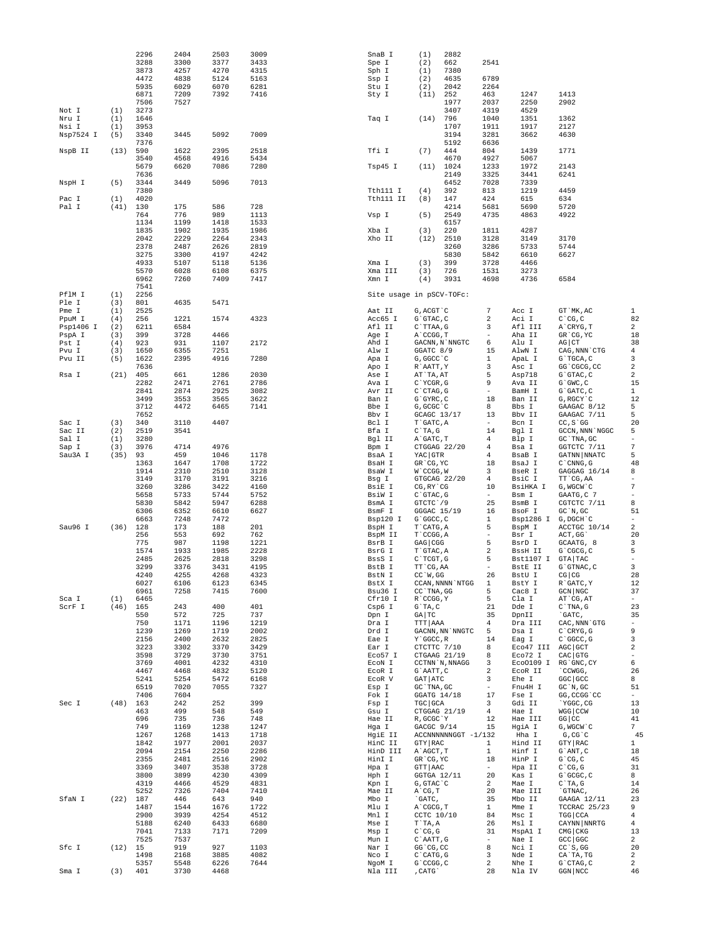|                     |            | 2296         | 2404         | 2503         | 3009         | SnaB I                   | (1)                                | 2882                |                                |                            |                                |                                  |
|---------------------|------------|--------------|--------------|--------------|--------------|--------------------------|------------------------------------|---------------------|--------------------------------|----------------------------|--------------------------------|----------------------------------|
|                     |            | 3288<br>3873 | 3300<br>4257 | 3377<br>4270 | 3433<br>4315 | Spe I<br>Sph I           | (2)<br>(1)                         | 662<br>7380         | 2541                           |                            |                                |                                  |
|                     |            | 4472         | 4838         | 5124         | 5163         | Ssp I                    | (2)                                | 4635                | 6789                           |                            |                                |                                  |
|                     |            | 5935         | 6029         | 6070         | 6281         | Stu I                    | (2)                                | 2042                | 2264                           |                            |                                |                                  |
|                     |            | 6871         | 7209         | 7392         | 7416         | Sty I                    | (11)                               | 252                 | 463                            | 1247                       | 1413                           |                                  |
| Not I               | (1)        | 7506<br>3273 | 7527         |              |              |                          |                                    | 1977<br>3407        | 2037<br>4319                   | 2250<br>4529               | 2902                           |                                  |
| Nru I               | (1)        | 1646         |              |              |              | Taq I                    | (14)                               | 796                 | 1040                           | 1351                       | 1362                           |                                  |
| Nsi I               | (1)        | 3953         |              |              |              |                          |                                    | 1707                | 1911                           | 1917                       | 2127                           |                                  |
| Nsp7524 I           | (5)        | 3340         | 3445         | 5092         | 7009         |                          |                                    | 3194                | 3281                           | 3662                       | 4630                           |                                  |
|                     |            | 7376         |              |              |              |                          |                                    | 5192                | 6636                           |                            |                                |                                  |
| NspB II             | (13)       | 590          | 1622         | 2395         | 2518         | Tfi I                    | (7)                                | 444                 | 804                            | 1439                       | 1771                           |                                  |
|                     |            | 3540<br>5679 | 4568<br>6620 | 4916<br>7086 | 5434<br>7280 | Tsp45 I                  | (11)                               | 4670<br>1024        | 4927<br>1233                   | 5067<br>1972               | 2143                           |                                  |
|                     |            | 7636         |              |              |              |                          |                                    | 2149                | 3325                           | 3441                       | 6241                           |                                  |
| NspH I              | (5)        | 3344         | 3449         | 5096         | 7013         |                          |                                    | 6452                | 7028                           | 7339                       |                                |                                  |
|                     |            | 7380         |              |              |              | Tth111 I                 | (4)                                | 392                 | 813                            | 1219                       | 4459                           |                                  |
| Pac I               | (1)        | 4020         |              |              |              | Tth111 II                | (8)                                | 147                 | 424                            | 615                        | 634                            |                                  |
| Pal I               | (41)       | 130          | 175          | 586<br>989   | 728<br>1113  |                          |                                    | 4214                | 5681                           | 5690                       | 5720                           |                                  |
|                     |            | 764<br>1134  | 776<br>1199  | 1418         | 1533         | Vsp I                    | (5)                                | 2549<br>6157        | 4735                           | 4863                       | 4922                           |                                  |
|                     |            | 1835         | 1902         | 1935         | 1986         | Xba I                    | (3)                                | 220                 | 1811                           | 4287                       |                                |                                  |
|                     |            | 2042         | 2229         | 2264         | 2343         | Xho II                   | (12)                               | 2510                | 3128                           | 3149                       | 3170                           |                                  |
|                     |            | 2378         | 2487         | 2626         | 2819         |                          |                                    | 3260                | 3286                           | 5733                       | 5744                           |                                  |
|                     |            | 3275         | 3300         | 4197         | 4242         |                          |                                    | 5830                | 5842                           | 6610                       | 6627                           |                                  |
|                     |            | 4933<br>5570 | 5107<br>6028 | 5118<br>6108 | 5136<br>6375 | Xma I<br>Xma III         | (3)<br>(3)                         | 399<br>726          | 3728<br>1531                   | 4466<br>3273               |                                |                                  |
|                     |            | 6962         | 7260         | 7409         | 7417         | Xmn I                    | (4)                                | 3931                | 4698                           | 4736                       | 6584                           |                                  |
|                     |            | 7541         |              |              |              |                          |                                    |                     |                                |                            |                                |                                  |
| PflM I              | (1)        | 2256         |              |              |              | Site usage in pSCV-TOFc: |                                    |                     |                                |                            |                                |                                  |
| Ple I               | (3)        | 801          | 4635         | 5471         |              |                          |                                    |                     |                                |                            |                                |                                  |
| Pme I               | (1)        | 2525         |              |              |              | Aat II                   | G, ACGT `C                         |                     | $\overline{7}$                 | Acc I                      | GT`MK,AC                       | $\mathbf{1}$                     |
| PpuM I<br>Psp1406 I | (4)<br>(2) | 256<br>6211  | 1221<br>6584 | 1574         | 4323         | Acc65 I<br>Afl II        | G`GTAC, C<br>$C$ TTAA, G           |                     | 2<br>3                         | Aci I<br>Afl III           | $C^{\wedge}CG, C$<br>A`CRYG, T | 82<br>2                          |
| PspA I              | (3)        | 399          | 3728         | 4466         |              | Age I                    | A CCGG, T                          |                     | $\overline{\phantom{a}}$       | Aha II                     | GR CG, YC                      | 18                               |
| Pst I               | (4)        | 923          | 931          | 1107         | 2172         | Ahd I                    |                                    | GACNN, N`NNGTC      | 6                              | Alu I                      | $AG$ $CT$                      | 38                               |
| Pvu I               | (3)        | 1650         | 6355         | 7251         |              | Alw I                    | GGATC 8/9                          |                     | 15                             | AlwN I                     | CAG, NNN `CTG                  | $\overline{4}$                   |
| Pvu II              | (5)        | 1622         | 2395         | 4916         | 7280         | Apa I                    | G, GGCC `C                         |                     | $\mathbf{1}$                   | ApaL I                     | G`TGCA, C                      | 3                                |
| Rsa I               |            | 7636         |              |              |              | Apo I                    | R`AATT, Y                          |                     | 3                              | Asc I                      | GG 'CGCG, CC                   | $\overline{a}$<br>$\overline{a}$ |
|                     | (21)       | 405<br>2282  | 661<br>2471  | 1286<br>2761 | 2030<br>2786 | Ase I<br>Ava I           | AT `TA, AT<br>$C^{\wedge}$ YCGR, G |                     | 5<br>9                         | Asp718<br>Ava II           | G`GTAC, C<br>$G$ $GWC$ , $C$   | 15                               |
|                     |            | 2841         | 2874         | 2925         | 3082         | Avr II                   | C`CTAG, G                          |                     | $\overline{\phantom{a}}$       | BamH I                     | G`GATC, C                      | $\mathbf{1}$                     |
|                     |            | 3499         | 3553         | 3565         | 3622         | Ban I                    | G`GYRC, C                          |                     | 18                             | Ban II                     | G, RGCY `C                     | 12                               |
|                     |            | 3712         | 4472         | 6465         | 7141         | Bbe I                    | G, GCGC `C                         |                     | 8                              | Bbs I                      | GAAGAC 8/12                    | 5                                |
|                     |            | 7652         |              |              |              | Bbv I                    | GCAGC 13/17                        |                     | 13                             | Bbv II                     | GAAGAC 7/11                    | 5                                |
| Sac I               | (3)        | 340          | 3110         | 4407         |              | Bcl I                    | T`GATC, A                          |                     | $\overline{\phantom{a}}$       | Bcn I                      | $CC, S$ GG                     | 20                               |
| Sac II<br>Sal I     | (2)<br>(1) | 2519<br>3280 | 3541         |              |              | Bfa I<br>Bgl II          | $C^T A$ , G<br>A`GATC, T           |                     | 14<br>4                        | Bgl I<br>Blp I             | GCCN, NNN NGGC<br>GC `TNA, GC  | 5<br>$\overline{\phantom{0}}$    |
| Sap I               | (3)        | 3976         | 4714         | 4976         |              | Bpm I                    |                                    | CTGGAG 22/20        | 4                              | Bsa I                      | GGTCTC 7/11                    | $\boldsymbol{7}$                 |
| Sau3A I             | (35)       | 93           | 459          | 1046         | 1178         | BsaA I                   | YAC GTR                            |                     | 4                              | BsaB I                     | GATNN NNATC                    | 5                                |
|                     |            | 1363         | 1647         | 1708         | 1722         | BsaH I                   | GR CG, YC                          |                     | 18                             | BsaJ I                     | C`CNNG,G                       | 48                               |
|                     |            | 1914         | 2310         | 2510         | 3128         | BsaW I                   | $W$ $CCGG$ , $W$                   |                     | 3                              | BseR I                     | GAGGAG 16/14                   | 8                                |
|                     |            | 3149         | 3170         | 3191         | 3216         | Bsg I                    | GTGCAG 22/20                       |                     | $\overline{4}$                 | BsiC I                     | TT CG, AA                      | $\overline{\phantom{0}}$         |
|                     |            | 3260<br>5658 | 3286<br>5733 | 3422<br>5744 | 4160<br>5752 | BsiE I<br>BsiW I         | CG, RY CG<br>$C$ GTAC, G           |                     | 10<br>$\overline{\phantom{a}}$ | BsiHKA I<br>Bsm I          | G, WGCW C<br>GAATG, C 7        | 7<br>$\overline{\phantom{0}}$    |
|                     |            | 5830         | 5842         | 5947         | 6288         | BsmA I                   | GTCTC 79                           |                     | 25                             | BsmB I                     | CGTCTC 7/11                    | 8                                |
|                     |            | 6306         | 6352         | 6610         | 6627         | BsmF I                   | GGGAC 15/19                        |                     | 16                             | BsoF I                     | $GC^N$ , $GC$                  | 51                               |
|                     |            | 6663         | 7248         | 7472         |              | Bsp120 I                 | G`GGCC, C                          |                     | $\mathbf{1}$                   | Bsp1286 I G, DGCH'C        |                                | $\overline{\phantom{a}}$         |
| Sau96 I             | (36)       | 128          | 173          | 188          | 201          | BspH I                   | T`CATG, A                          |                     | 5                              | BspM I                     | ACCTGC 10/14                   | $\overline{\mathbf{c}}$          |
|                     |            | 256          | 553          | 692          | 762          | BspM II                  | T CCGG, A                          |                     | $\overline{\phantom{a}}$<br>5  | Bsr I                      | ACT, GG                        | 20                               |
|                     |            | 775<br>1574  | 987<br>1933  | 1198<br>1985 | 1221<br>2228 | BsrB I<br>BsrG I         | GAG CGG<br>T`GTAC, A               |                     | $\,2$                          | BsrD I<br>BssH II          | GCAATG, 8<br>G`CGCG, C         | 3<br>5                           |
|                     |            | 2485         | 2625         | 2818         | 3298         | BssS I                   | C`TCGT, G                          |                     | 5                              | Bst1107 I                  | GTA TAC                        | $\overline{\phantom{0}}$         |
|                     |            | 3299         | 3376         | 3431         | 4195         | BstB I                   | TT`CG,AA                           |                     | $\overline{\phantom{a}}$       | BstE II                    | G`GTNAC, C                     | 3                                |
|                     |            | 4240         | 4255         | 4268         | 4323         | BstN I                   | $CC^W$ , GG                        |                     | 26                             | BstU I                     | CG CG                          | 28                               |
|                     |            | 6027         | 6106         | 6123         | 6345         | BstX I                   |                                    | CCAN, NNNN `NTGG    | 1                              | BstY I                     | R GATC, Y                      | 12                               |
| Sca I               | (1)        | 6961<br>6465 | 7258         | 7415         | 7600         | Bsu36 I<br>Cfr10 I       | CC `TNA, GG<br>R CCGG, Y           |                     | 5<br>5                         | Cac8 I<br>Cla I            | GCN NGC<br>AT CG, AT           | 37<br>$\overline{\phantom{a}}$   |
| ScrF I              | $(46)$ 165 |              | 243          | 400          | 401          | Csp6 I                   | $G^T A, C$                         |                     | 21                             | Dde I                      | $C$ TNA, $G$                   | 23                               |
|                     |            | 550          | 572          | 725          | 737          | Dpn I                    | GA TC                              |                     | 35                             | DpnII                      | `GATC,                         | 35                               |
|                     |            | 750          | 1171         | 1196         | 1219         | Dra I                    | TTT   AAA                          |                     | $\overline{4}$                 | Dra III                    | CAC, NNN `GTG                  | $\overline{\phantom{a}}$         |
|                     |            | 1239         | 1269         | 1719         | 2002         | Drd I                    |                                    | GACNN, NN `NNGTC    | 5                              | Dsa I                      | $C$ $CRYG$ , $G$               | 9                                |
|                     |            | 2156<br>3223 | 2400<br>3302 | 2632<br>3370 | 2825<br>3429 | Eae I<br>Ear I           | Y`GGCC, R<br>CTCTTC 7/10           |                     | 14<br>8                        | Eaq I<br>Eco47 III AGC GCT | C`GGCC, G                      | 3<br>$\overline{\mathbf{c}}$     |
|                     |            | 3598         | 3729         | 3730         | 3751         | Eco57 I                  | CTGAAG 21/19                       |                     | 8                              | Eco72 I                    | CAC GTG                        | $\overline{\phantom{a}}$         |
|                     |            | 3769         | 4001         | 4232         | 4310         | ECON I                   |                                    | CCTNN `N, NNAGG     | 3                              | Eco0109 I RG'GNC, CY       |                                | 6                                |
|                     |            | 4467         | 4468         | 4832         | 5120         | ECOR I                   | G`AATT, C                          |                     | $\overline{2}$                 | ECOR II                    | CCWGG,                         | 26                               |
|                     |            | 5241         | 5254         | 5472         | 6168         | ECOR V                   | GAT ATC                            |                     | 3                              | $Ehe$ $\;$ I               | GGC GCC                        | 8                                |
|                     |            | 6519<br>7406 | 7020<br>7604 | 7055         | 7327         | Esp I<br>Fok I           | GC `TNA, GC<br>GGATG 14/18         |                     | $\sim$<br>17                   | Fnu4H I<br>Fse I           | GC `N, GC<br>GG, CCGG 'CC      | 51<br>$\sim$                     |
| Sec I               | $(48)$ 163 |              | 242          | 252          | 399          | Fsp I                    | TGC GCA                            |                     | 3                              | Gdi II                     | YGGC, CG                       | 13                               |
|                     |            | 463          | 499          | 548          | 549          | Gsu I                    | CTGGAG 21/19                       |                     | $\overline{4}$                 | Hae I                      | WGG CCW                        | 10                               |
|                     |            | 696          | 735          | 736          | 748          | Hae II                   | R, GCGC`Y                          |                     | 12                             | Hae III                    | $GG$ $CC$                      | 41                               |
|                     |            | 749          | 1169         | 1238         | 1247         | Hga I                    | GACGC 9/14                         |                     | 15                             | HgiA I                     | G, WGCW `C                     | $7\phantom{.0}$                  |
|                     |            | 1267         | 1268         | 1413         | 1718         | HgiE II                  |                                    | ACCNNNNNNGGT -1/132 |                                | Hha I                      | $G, CG$ $C$                    | 45                               |
|                     |            | 1842<br>2094 | 1977<br>2154 | 2001<br>2250 | 2037<br>2286 | HinC II<br>HinD III      | GTY RAC<br>A`AGCT, T               |                     | $\mathbf{1}$<br>$\mathbf{1}$   | Hind II<br>Hinf I          | GTY RAC<br>G`ANT, C            | $\mathbf{1}$<br>18               |
|                     |            | 2355         | 2481         | 2516         | 2902         | HinI I                   | GR CG, YC                          |                     | 18                             | HinP I                     | $G^{\wedge}CG, C$              | 45                               |
|                     |            | 3369         | 3407         | 3538         | 3728         | Hpa I                    | GTT AAC                            |                     | $\overline{\phantom{a}}$       | Hpa II                     | $C^{\wedge}CG$ , $G$           | 31                               |
|                     |            | 3800         | 3899         | 4230         | 4309         | Hph I                    | GGTGA 12/11                        |                     | 20                             | Kas I                      | G`GCGC, C                      | 8                                |
|                     |            | 4319         | 4466         | 4529         | 4831         | Kpn I                    | G, GTAC `C                         |                     | $\overline{2}$                 | Mae I                      | $C^T A$ , G                    | 14                               |
|                     |            | 5252         | 7326         | 7404         | 7410         | Mae II                   | $A^{\dagger}CG, T$                 |                     | 20                             | Mae III                    | `GTNAC,                        | 26                               |
| SfaN I              | $(22)$ 187 | 1487         | 446<br>1544  | 643<br>1676  | 940<br>1722  | Mbo I<br>Mlu I           | `GATC,<br>A CGCG, T                |                     | 35<br>$\mathbf{1}$             | Mbo II<br>Mme I            | GAAGA 12/11<br>TCCRAC 25/23    | 23<br>9                          |
|                     |            | 2900         | 3939         | 4254         | 4512         | Mnl I                    | CCTC 10/10                         |                     | 84                             | Msc I                      | TGG CCA                        | 4                                |
|                     |            | 5188         | 6240         | 6433         | 6680         | Mse I                    | T`TA, A                            |                     | 26                             | Msl I                      | CAYNN NNRTG                    | 4                                |
|                     |            | 7041         | 7133         | 7171         | 7209         | Msp I                    | $C^{\wedge}CG$ , $G$               |                     | 31                             | MspA1 I                    | CMG CKG                        | 13                               |
|                     |            | 7525         | 7537         |              |              | Mun I                    | C`AATT, G                          |                     | $\overline{\phantom{a}}$       | Nae I                      | GCC GGC                        | $\overline{a}$                   |
| Sfc I               | $(12)$ 15  |              | 919          | 927          | 1103         | Nar I                    | GG CG, CC                          |                     | 8                              | Nci I                      | $CC$ `S, GG                    | 20                               |
|                     |            | 1498<br>5357 | 2168<br>5548 | 3885<br>6226 | 4082<br>7644 | Nco I<br>NgoM I          | $C$ $CATG$ , $G$<br>G`CCGG, C      |                     | 3<br>$\overline{a}$            | Nde I<br>Nhe I             | CA`TA, TG<br>G`CTAG, C         | $\overline{a}$<br>2              |
| Sma I               | (3)        | 401          | 3730         | 4468         |              | Nla III                  | , CATG                             |                     | 28                             | Nla IV                     | GGN NCC                        | 46                               |
|                     |            |              |              |              |              |                          |                                    |                     |                                |                            |                                |                                  |